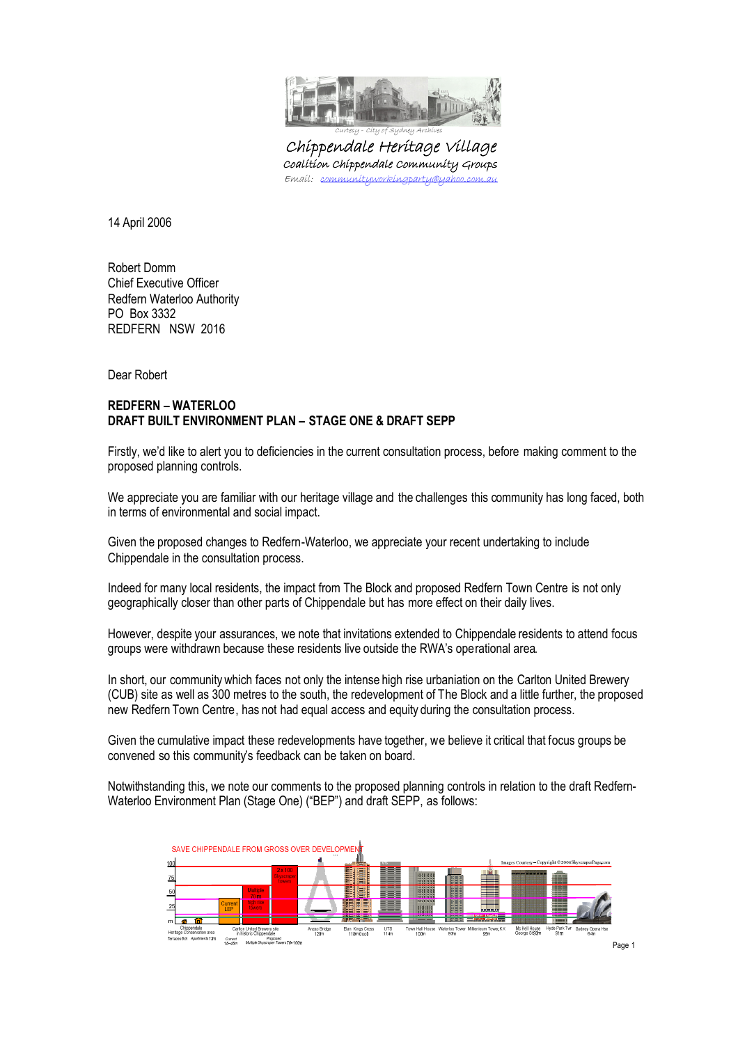

Chippendale Heritage Village Coalition Chippendale Community Groups Emaíl: <u>communityworkingparty@yahoo.com.au</u>

14 April 2006

Robert Domm Chief Executive Officer Redfern Waterloo Authority PO Box 3332 REDFERN NSW 2016

Dear Robert

# **REDFERN – WATERLOO DRAFT BUILT ENVIRONMENT PLAN – STAGE ONE & DRAFT SEPP**

Firstly, we'd like to alert you to deficiencies in the current consultation process, before making comment to the proposed planning controls.

We appreciate you are familiar with our heritage village and the challenges this community has long faced, both in terms of environmental and social impact.

Given the proposed changes to Redfern-Waterloo, we appreciate your recent undertaking to include Chippendale in the consultation process.

Indeed for many local residents, the impact from The Block and proposed Redfern Town Centre is not only geographically closer than other parts of Chippendale but has more effect on their daily lives.

However, despite your assurances, we note that invitations extended to Chippendale residents to attend focus groups were withdrawn because these residents live outside the RWA's operational area.

In short, our community which faces not only the intense high rise urbaniation on the Carlton United Brewery (CUB) site as well as 300 metres to the south, the redevelopment of The Block and a little further, the proposed new Redfern Town Centre, has not had equal access and equity during the consultation process.

Given the cumulative impact these redevelopments have together, we believe it critical that focus groups be convened so this community's feedback can be taken on board.

Notwithstanding this, we note our comments to the proposed planning controls in relation to the draft Redfern-Waterloo Environment Plan (Stage One) ("BEP") and draft SEPP, as follows:

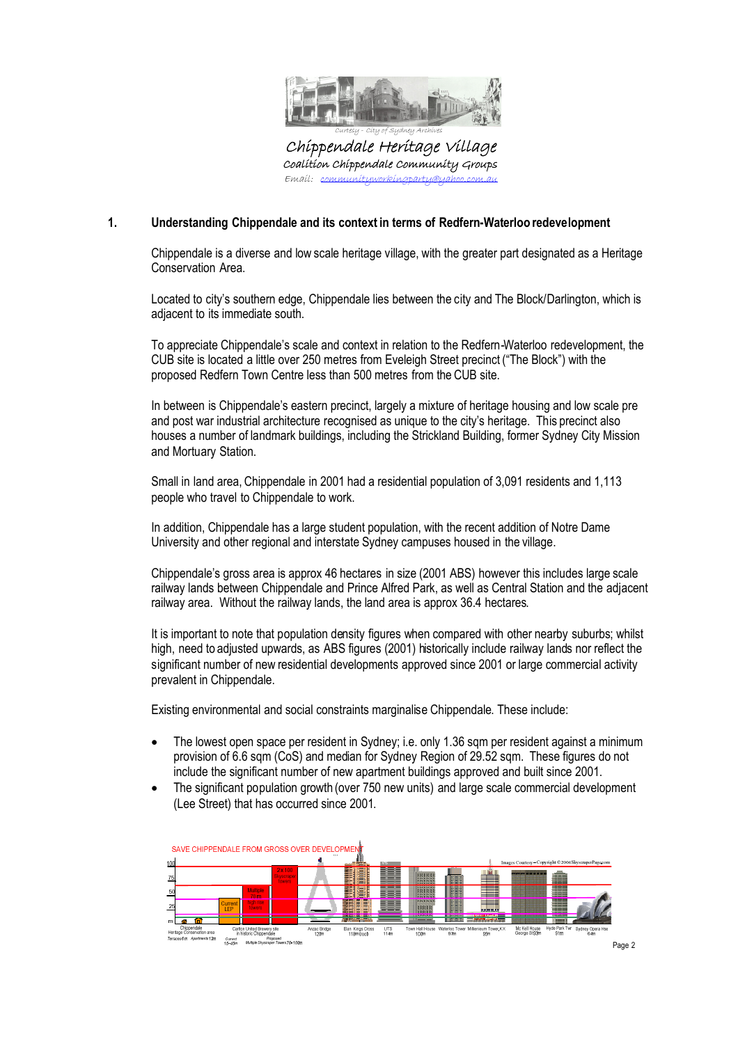

Chippendale Heritage Village Coalition Chippendale Community Groups Emaíl: <u>communityworkingparty@yahoo.com.au</u>

# **1. Understanding Chippendale and its context in terms of Redfern-Waterloo redevelopment**

Chippendale is a diverse and low scale heritage village, with the greater part designated as a Heritage Conservation Area.

Located to city's southern edge, Chippendale lies between the city and The Block/Darlington, which is adjacent to its immediate south.

To appreciate Chippendale's scale and context in relation to the Redfern-Waterloo redevelopment, the CUB site is located a little over 250 metres from Eveleigh Street precinct ("The Block") with the proposed Redfern Town Centre less than 500 metres from the CUB site.

In between is Chippendale's eastern precinct, largely a mixture of heritage housing and low scale pre and post war industrial architecture recognised as unique to the city's heritage. This precinct also houses a number of landmark buildings, including the Strickland Building, former Sydney City Mission and Mortuary Station.

Small in land area, Chippendale in 2001 had a residential population of 3,091 residents and 1,113 people who travel to Chippendale to work.

In addition, Chippendale has a large student population, with the recent addition of Notre Dame University and other regional and interstate Sydney campuses housed in the village.

Chippendale's gross area is approx 46 hectares in size (2001 ABS) however this includes large scale railway lands between Chippendale and Prince Alfred Park, as well as Central Station and the adjacent railway area. Without the railway lands, the land area is approx 36.4 hectares.

It is important to note that population density figures when compared with other nearby suburbs; whilst high, need to adjusted upwards, as ABS figures (2001) historically include railway lands nor reflect the significant number of new residential developments approved since 2001 or large commercial activity prevalent in Chippendale.

Existing environmental and social constraints marginalise Chippendale. These include:

- The lowest open space per resident in Sydney; i.e. only 1.36 sqm per resident against a minimum provision of 6.6 sqm (CoS) and median for Sydney Region of 29.52 sqm. These figures do not include the significant number of new apartment buildings approved and built since 2001.
- The significant population growth (over 750 new units) and large scale commercial development (Lee Street) that has occurred since 2001.

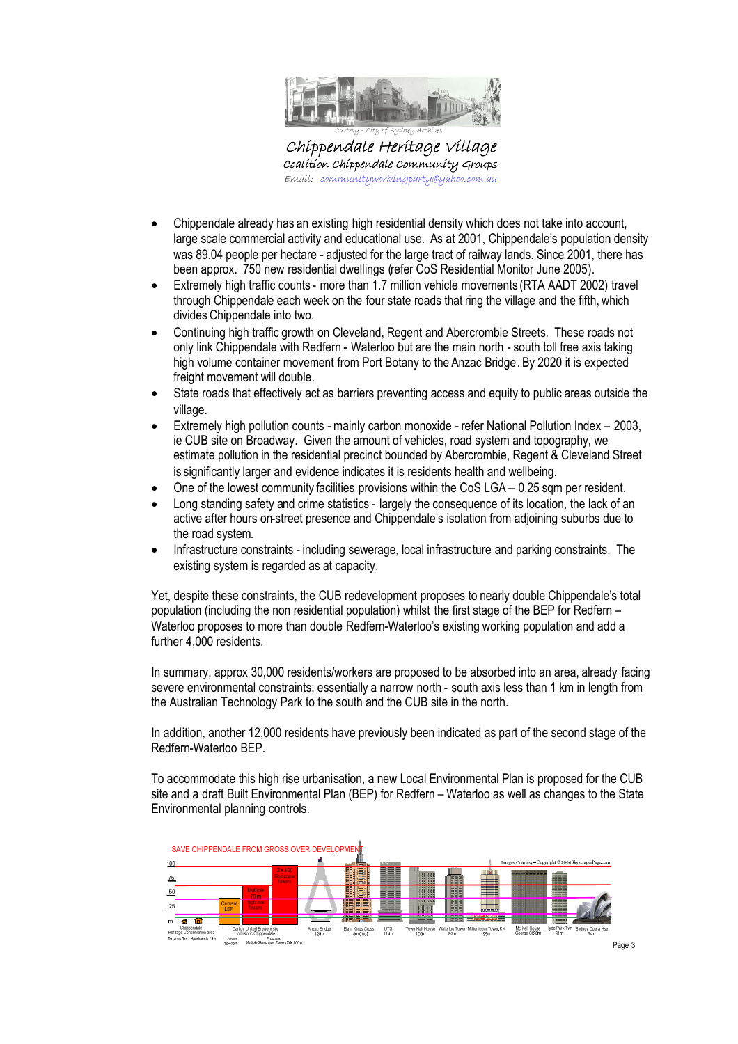

Chippendale Heritage Village Coalition Chippendale Community Groups  $E$ mail: communi

Curtesy - City of Sydney Archives

- Chippendale already has an existing high residential density which does not take into account, large scale commercial activity and educational use. As at 2001, Chippendale's population density was 89.04 people per hectare - adjusted for the large tract of railway lands. Since 2001, there has been approx. 750 new residential dwellings (refer CoS Residential Monitor June 2005).
- Extremely high traffic counts more than 1.7 million vehicle movements (RTA AADT 2002) travel through Chippendale each week on the four state roads that ring the village and the fifth, which divides Chippendale into two.
- Continuing high traffic growth on Cleveland, Regent and Abercrombie Streets. These roads not only link Chippendale with Redfern - Waterloo but are the main north - south toll free axis taking high volume container movement from Port Botany to the Anzac Bridge. By 2020 it is expected freight movement will double.
- State roads that effectively act as barriers preventing access and equity to public areas outside the village.
- Extremely high pollution counts mainly carbon monoxide refer National Pollution Index 2003, ie CUB site on Broadway. Given the amount of vehicles, road system and topography, we estimate pollution in the residential precinct bounded by Abercrombie, Regent & Cleveland Street is significantly larger and evidence indicates it is residents health and wellbeing.
- One of the lowest community facilities provisions within the CoS LGA 0.25 sqm per resident.
- Long standing safety and crime statistics largely the consequence of its location, the lack of an active after hours on-street presence and Chippendale's isolation from adjoining suburbs due to the road system.
- Infrastructure constraints including sewerage, local infrastructure and parking constraints. The existing system is regarded as at capacity.

Yet, despite these constraints, the CUB redevelopment proposes to nearly double Chippendale's total population (including the non residential population) whilst the first stage of the BEP for Redfern – Waterloo proposes to more than double Redfern-Waterloo's existing working population and add a further 4,000 residents.

In summary, approx 30,000 residents/workers are proposed to be absorbed into an area, already facing severe environmental constraints; essentially a narrow north - south axis less than 1 km in length from the Australian Technology Park to the south and the CUB site in the north.

In addition, another 12,000 residents have previously been indicated as part of the second stage of the Redfern-Waterloo BEP.

To accommodate this high rise urbanisation, a new Local Environmental Plan is proposed for the CUB site and a draft Built Environmental Plan (BEP) for Redfern – Waterloo as well as changes to the State Environmental planning controls.

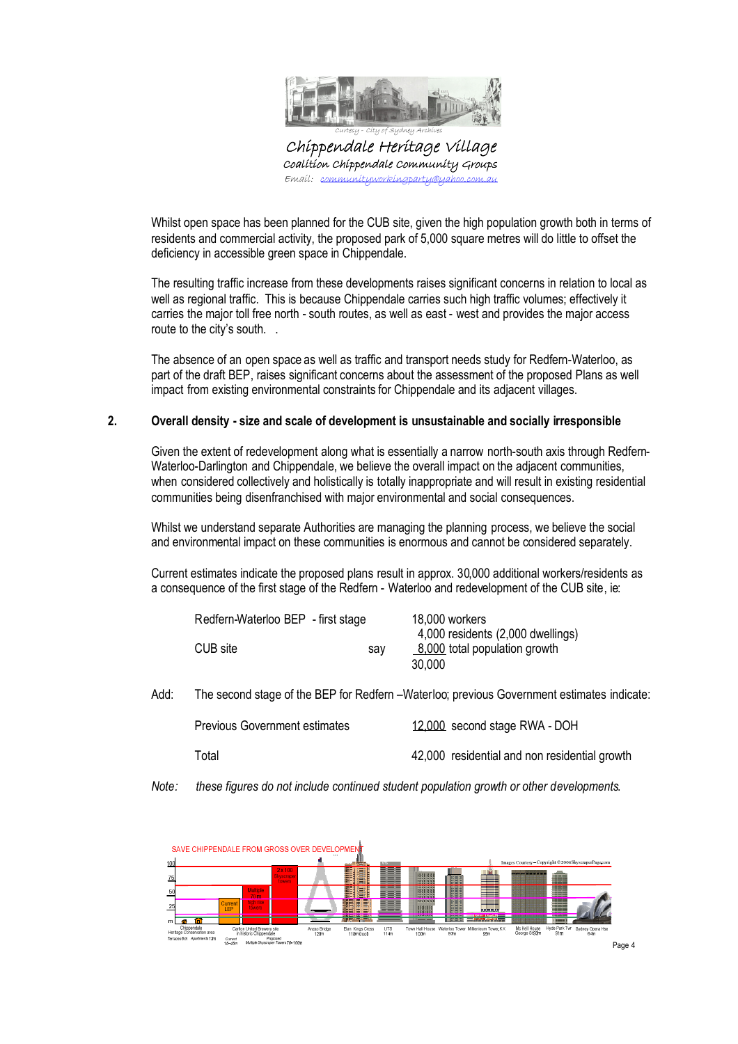

Chippendale Heritage Village Coalition Chippendale Community Groups  $E$ mail: com

Whilst open space has been planned for the CUB site, given the high population growth both in terms of residents and commercial activity, the proposed park of 5,000 square metres will do little to offset the deficiency in accessible green space in Chippendale.

The resulting traffic increase from these developments raises significant concerns in relation to local as well as regional traffic. This is because Chippendale carries such high traffic volumes; effectively it carries the major toll free north - south routes, as well as east - west and provides the major access route to the city's south. .

The absence of an open space as well as traffic and transport needs study for Redfern-Waterloo, as part of the draft BEP, raises significant concerns about the assessment of the proposed Plans as well impact from existing environmental constraints for Chippendale and its adjacent villages.

#### **2. Overall density - size and scale of development is unsustainable and socially irresponsible**

Given the extent of redevelopment along what is essentially a narrow north-south axis through Redfern-Waterloo-Darlington and Chippendale, we believe the overall impact on the adjacent communities, when considered collectively and holistically is totally inappropriate and will result in existing residential communities being disenfranchised with major environmental and social consequences.

Whilst we understand separate Authorities are managing the planning process, we believe the social and environmental impact on these communities is enormous and cannot be considered separately.

Current estimates indicate the proposed plans result in approx. 30,000 additional workers/residents as a consequence of the first stage of the Redfern - Waterloo and redevelopment of the CUB site, ie:

| Redfern-Waterloo BEP - first stage |     | 18,000 workers                    |
|------------------------------------|-----|-----------------------------------|
|                                    |     | 4,000 residents (2,000 dwellings) |
| CUB site                           | sav | 8,000 total population growth     |
|                                    |     | 30,000                            |

Add: The second stage of the BEP for Redfern –Waterloo; previous Government estimates indicate:

| <b>Previous Government estimates</b> | 12,000 second stage RWA - DOH                 |
|--------------------------------------|-----------------------------------------------|
| Total                                | 42,000 residential and non residential growth |

*Note: these figures do not include continued student population growth or other developments*.

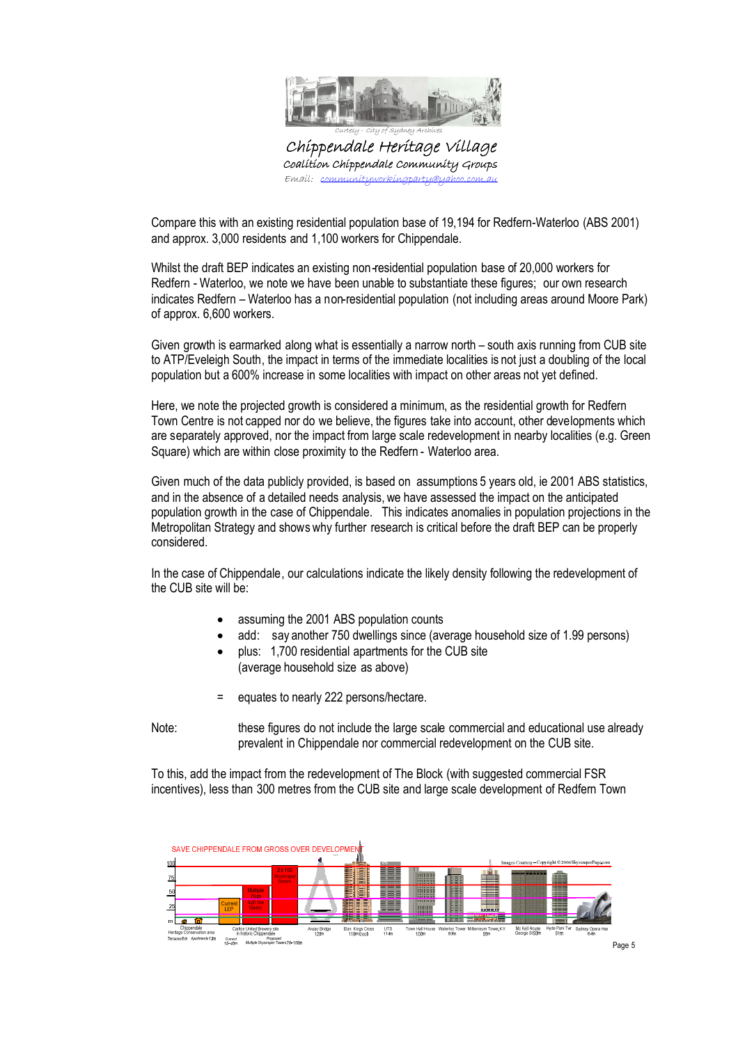

Chippendale Heritage Village Coalition Chippendale Community Groups  $E$ mail: co

Compare this with an existing residential population base of 19,194 for Redfern-Waterloo (ABS 2001) and approx. 3,000 residents and 1,100 workers for Chippendale.

Whilst the draft BEP indicates an existing non-residential population base of 20,000 workers for Redfern - Waterloo, we note we have been unable to substantiate these figures; our own research indicates Redfern – Waterloo has a non-residential population (not including areas around Moore Park) of approx. 6,600 workers.

Given growth is earmarked along what is essentially a narrow north – south axis running from CUB site to ATP/Eveleigh South, the impact in terms of the immediate localities is not just a doubling of the local population but a 600% increase in some localities with impact on other areas not yet defined.

Here, we note the projected growth is considered a minimum, as the residential growth for Redfern Town Centre is not capped nor do we believe, the figures take into account, other developments which are separately approved, nor the impact from large scale redevelopment in nearby localities (e.g. Green Square) which are within close proximity to the Redfern - Waterloo area.

Given much of the data publicly provided, is based on assumptions 5 years old, ie 2001 ABS statistics, and in the absence of a detailed needs analysis, we have assessed the impact on the anticipated population growth in the case of Chippendale. This indicates anomalies in population projections in the Metropolitan Strategy and shows why further research is critical before the draft BEP can be properly considered.

In the case of Chippendale, our calculations indicate the likely density following the redevelopment of the CUB site will be:

- assuming the 2001 ABS population counts
- add: say another 750 dwellings since (average household size of 1.99 persons)
- plus: 1,700 residential apartments for the CUB site (average household size as above)
- equates to nearly 222 persons/hectare.

Note: these figures do not include the large scale commercial and educational use already prevalent in Chippendale nor commercial redevelopment on the CUB site.

To this, add the impact from the redevelopment of The Block (with suggested commercial FSR incentives), less than 300 metres from the CUB site and large scale development of Redfern Town



Page 5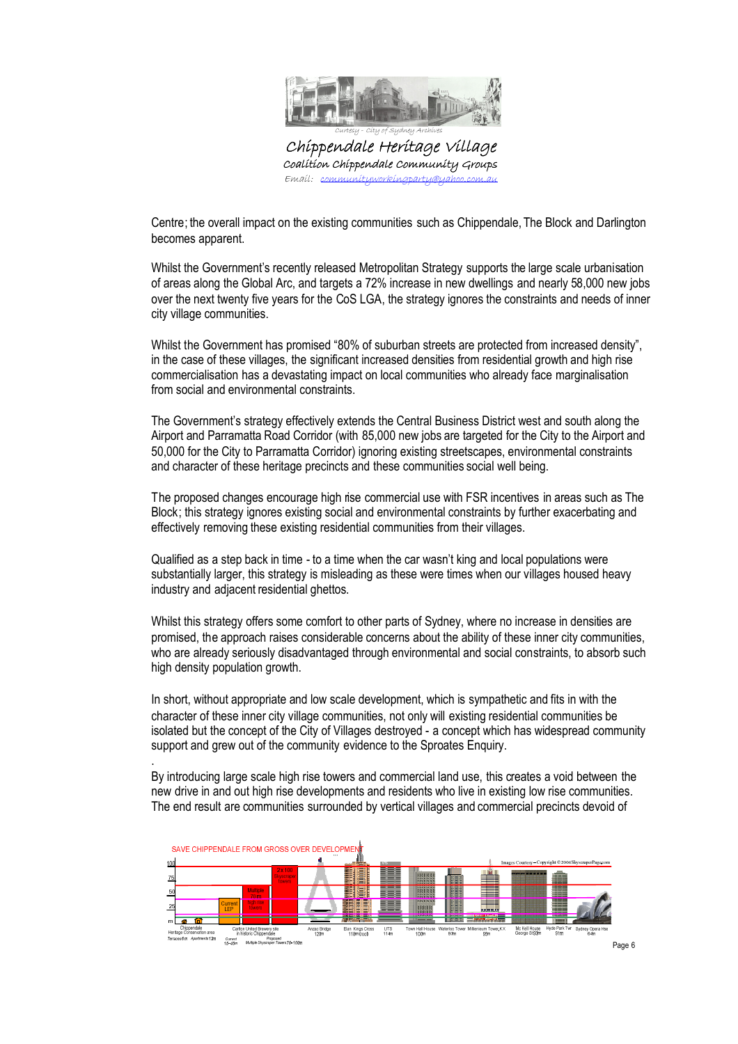

Chippendale Heritage Village Coalition Chippendale Community Groups Emaíl: <u>communityworkingparty@yahoo.com.au</u>

Centre; the overall impact on the existing communities such as Chippendale, The Block and Darlington becomes apparent.

Whilst the Government's recently released Metropolitan Strategy supports the large scale urbanisation of areas along the Global Arc, and targets a 72% increase in new dwellings and nearly 58,000 new jobs over the next twenty five years for the CoS LGA, the strategy ignores the constraints and needs of inner city village communities.

Whilst the Government has promised "80% of suburban streets are protected from increased density", in the case of these villages, the significant increased densities from residential growth and high rise commercialisation has a devastating impact on local communities who already face marginalisation from social and environmental constraints.

The Government's strategy effectively extends the Central Business District west and south along the Airport and Parramatta Road Corridor (with 85,000 new jobs are targeted for the City to the Airport and 50,000 for the City to Parramatta Corridor) ignoring existing streetscapes, environmental constraints and character of these heritage precincts and these communities social well being.

The proposed changes encourage high rise commercial use with FSR incentives in areas such as The Block; this strategy ignores existing social and environmental constraints by further exacerbating and effectively removing these existing residential communities from their villages.

Qualified as a step back in time - to a time when the car wasn't king and local populations were substantially larger, this strategy is misleading as these were times when our villages housed heavy industry and adjacent residential ghettos.

Whilst this strategy offers some comfort to other parts of Sydney, where no increase in densities are promised, the approach raises considerable concerns about the ability of these inner city communities, who are already seriously disadvantaged through environmental and social constraints, to absorb such high density population growth.

In short, without appropriate and low scale development, which is sympathetic and fits in with the character of these inner city village communities, not only will existing residential communities be isolated but the concept of the City of Villages destroyed - a concept which has widespread community support and grew out of the community evidence to the Sproates Enquiry.

By introducing large scale high rise towers and commercial land use, this creates a void between the new drive in and out high rise developments and residents who live in existing low rise communities. The end result are communities surrounded by vertical villages and commercial precincts devoid of

.

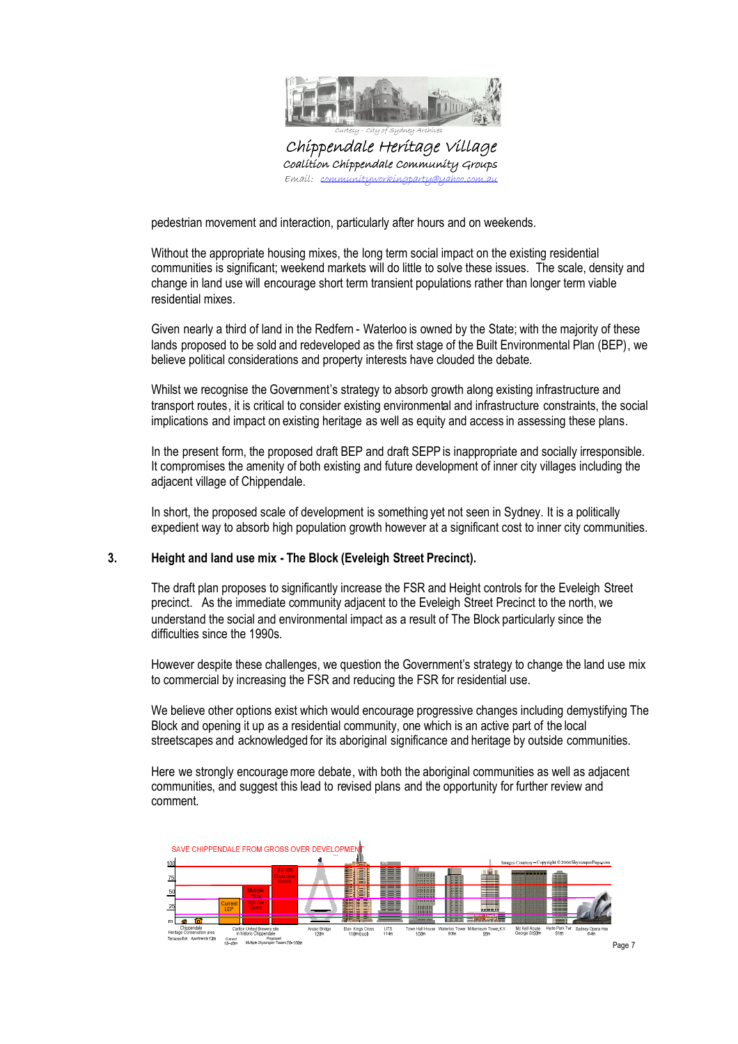

Chippendale Heritage Village Coalition Chippendale Community Groups  $E$ mail: co

pedestrian movement and interaction, particularly after hours and on weekends.

Without the appropriate housing mixes, the long term social impact on the existing residential communities is significant; weekend markets will do little to solve these issues. The scale, density and change in land use will encourage short term transient populations rather than longer term viable residential mixes.

Given nearly a third of land in the Redfern - Waterloo is owned by the State; with the majority of these lands proposed to be sold and redeveloped as the first stage of the Built Environmental Plan (BEP), we believe political considerations and property interests have clouded the debate.

Whilst we recognise the Government's strategy to absorb growth along existing infrastructure and transport routes, it is critical to consider existing environmental and infrastructure constraints, the social implications and impact on existing heritage as well as equity and access in assessing these plans.

In the present form, the proposed draft BEP and draft SEPP is inappropriate and socially irresponsible. It compromises the amenity of both existing and future development of inner city villages including the adjacent village of Chippendale.

In short, the proposed scale of development is something yet not seen in Sydney. It is a politically expedient way to absorb high population growth however at a significant cost to inner city communities.

# **3. Height and land use mix - The Block (Eveleigh Street Precinct).**

The draft plan proposes to significantly increase the FSR and Height controls for the Eveleigh Street precinct. As the immediate community adjacent to the Eveleigh Street Precinct to the north, we understand the social and environmental impact as a result of The Block particularly since the difficulties since the 1990s.

However despite these challenges, we question the Government's strategy to change the land use mix to commercial by increasing the FSR and reducing the FSR for residential use.

We believe other options exist which would encourage progressive changes including demystifying The Block and opening it up as a residential community, one which is an active part of the local streetscapes and acknowledged for its aboriginal significance and heritage by outside communities.

Here we strongly encouragemore debate, with both the aboriginal communities as well as adjacent communities, and suggest this lead to revised plans and the opportunity for further review and comment.

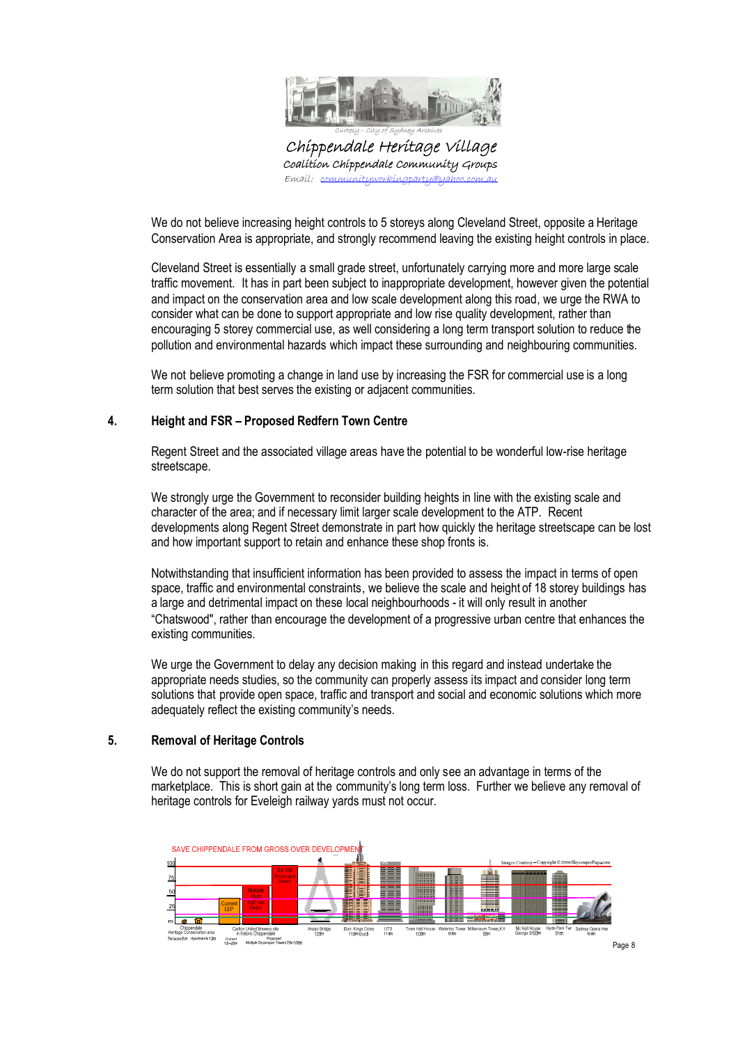

Chippendale Heritage Village Coalition Chippendale Community Groups  $E$ mail: co

We do not believe increasing height controls to 5 storeys along Cleveland Street, opposite a Heritage Conservation Area is appropriate, and strongly recommend leaving the existing height controls in place.

Cleveland Street is essentially a small grade street, unfortunately carrying more and more large scale traffic movement. It has in part been subject to inappropriate development, however given the potential and impact on the conservation area and low scale development along this road, we urge the RWA to consider what can be done to support appropriate and low rise quality development, rather than encouraging 5 storey commercial use, as well considering a long term transport solution to reduce the pollution and environmental hazards which impact these surrounding and neighbouring communities.

We not believe promoting a change in land use by increasing the FSR for commercial use is a long term solution that best serves the existing or adjacent communities.

### **4. Height and FSR – Proposed Redfern Town Centre**

Regent Street and the associated village areas have the potential to be wonderful low-rise heritage streetscape.

We strongly urge the Government to reconsider building heights in line with the existing scale and character of the area; and if necessary limit larger scale development to the ATP. Recent developments along Regent Street demonstrate in part how quickly the heritage streetscape can be lost and how important support to retain and enhance these shop fronts is.

Notwithstanding that insufficient information has been provided to assess the impact in terms of open space, traffic and environmental constraints, we believe the scale and height of 18 storey buildings has a large and detrimental impact on these local neighbourhoods - it will only result in another "Chatswood", rather than encourage the development of a progressive urban centre that enhances the existing communities.

We urge the Government to delay any decision making in this regard and instead undertake the appropriate needs studies, so the community can properly assess its impact and consider long term solutions that provide open space, traffic and transport and social and economic solutions which more adequately reflect the existing community's needs.

#### **5. Removal of Heritage Controls**

We do not support the removal of heritage controls and only see an advantage in terms of the marketplace. This is short gain at the community's long term loss. Further we believe any removal of heritage controls for Eveleigh railway yards must not occur.

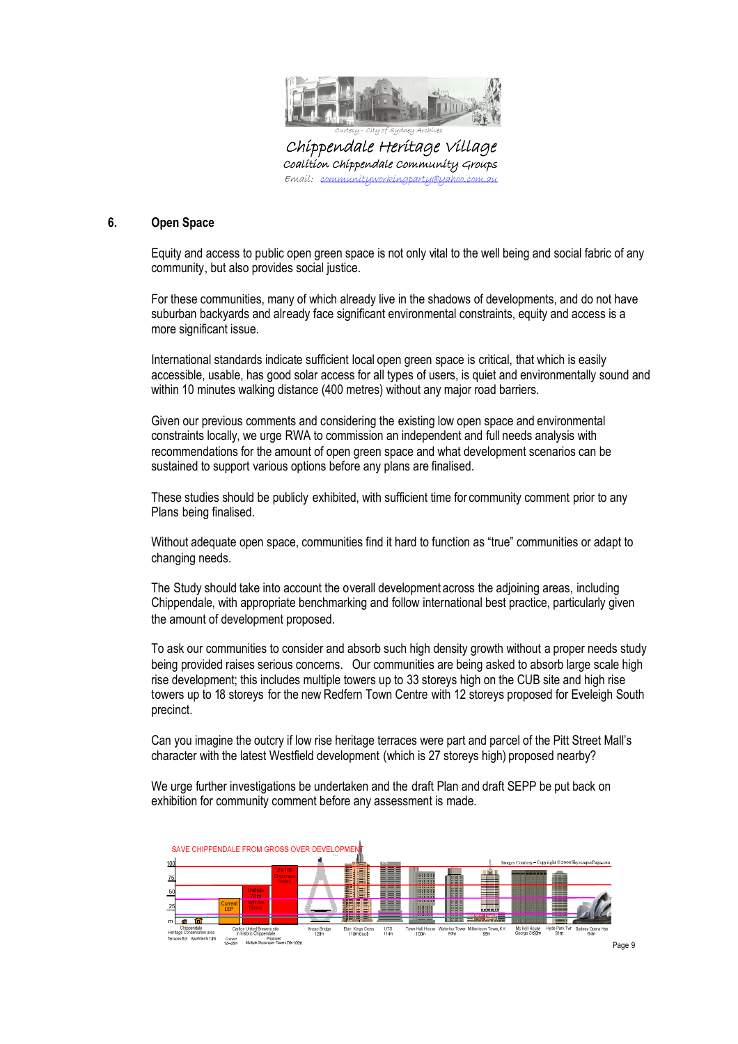

Chippendale Heritage Village Coalition Chippendale Community Groups  $E$ mail: con

### **6. Open Space**

Equity and access to public open green space is not only vital to the well being and social fabric of any community, but also provides social justice.

For these communities, many of which already live in the shadows of developments, and do not have suburban backyards and already face significant environmental constraints, equity and access is a more significant issue.

International standards indicate sufficient local open green space is critical, that which is easily accessible, usable, has good solar access for all types of users, is quiet and environmentally sound and within 10 minutes walking distance (400 metres) without any major road barriers.

Given our previous comments and considering the existing low open space and environmental constraints locally, we urge RWA to commission an independent and full needs analysis with recommendations for the amount of open green space and what development scenarios can be sustained to support various options before any plans are finalised.

These studies should be publicly exhibited, with sufficient time for community comment prior to any Plans being finalised.

Without adequate open space, communities find it hard to function as "true" communities or adapt to changing needs.

The Study should take into account the overall development across the adjoining areas, including Chippendale, with appropriate benchmarking and follow international best practice, particularly given the amount of development proposed.

To ask our communities to consider and absorb such high density growth without a proper needs study being provided raises serious concerns. Our communities are being asked to absorb large scale high rise development; this includes multiple towers up to 33 storeys high on the CUB site and high rise towers up to 18 storeys for the new Redfern Town Centre with 12 storeys proposed for Eveleigh South precinct.

Can you imagine the outcry if low rise heritage terraces were part and parcel of the Pitt Street Mall's character with the latest Westfield development (which is 27 storeys high) proposed nearby?

We urge further investigations be undertaken and the draft Plan and draft SEPP be put back on exhibition for community comment before any assessment is made.

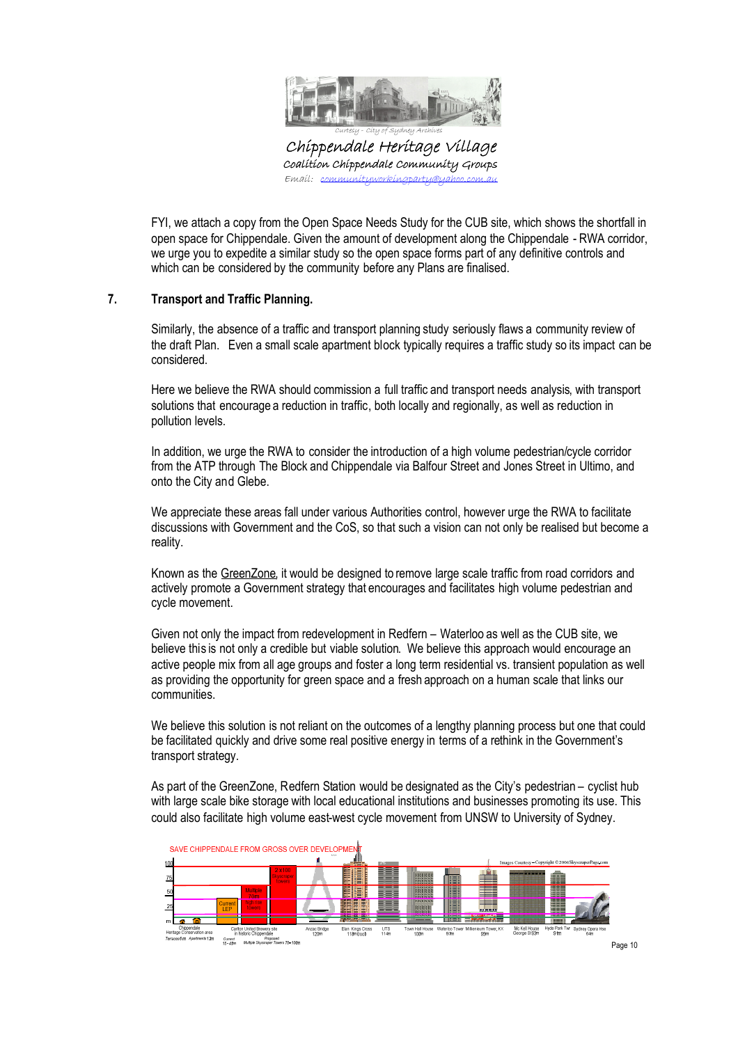

Chippendale Heritage Village Coalition Chippendale Community Groups  $E$ mail: com

FYI, we attach a copy from the Open Space Needs Study for the CUB site, which shows the shortfall in open space for Chippendale. Given the amount of development along the Chippendale - RWA corridor, we urge you to expedite a similar study so the open space forms part of any definitive controls and which can be considered by the community before any Plans are finalised.

# **7. Transport and Traffic Planning.**

Similarly, the absence of a traffic and transport planning study seriously flaws a community review of the draft Plan. Even a small scale apartment block typically requires a traffic study so its impact can be considered.

Here we believe the RWA should commission a full traffic and transport needs analysis, with transport solutions that encourage a reduction in traffic, both locally and regionally, as well as reduction in pollution levels.

In addition, we urge the RWA to consider the introduction of a high volume pedestrian/cycle corridor from the ATP through The Block and Chippendale via Balfour Street and Jones Street in Ultimo, and onto the City and Glebe.

We appreciate these areas fall under various Authorities control, however urge the RWA to facilitate discussions with Government and the CoS, so that such a vision can not only be realised but become a reality.

Known as the GreenZone, it would be designed to remove large scale traffic from road corridors and actively promote a Government strategy that encourages and facilitates high volume pedestrian and cycle movement.

Given not only the impact from redevelopment in Redfern – Waterloo as well as the CUB site, we believe this is not only a credible but viable solution. We believe this approach would encourage an active people mix from all age groups and foster a long term residential vs. transient population as well as providing the opportunity for green space and a fresh approach on a human scale that links our communities.

We believe this solution is not reliant on the outcomes of a lengthy planning process but one that could be facilitated quickly and drive some real positive energy in terms of a rethink in the Government's transport strategy.

As part of the GreenZone, Redfern Station would be designated as the City's pedestrian – cyclist hub with large scale bike storage with local educational institutions and businesses promoting its use. This could also facilitate high volume east-west cycle movement from UNSW to University of Sydney.

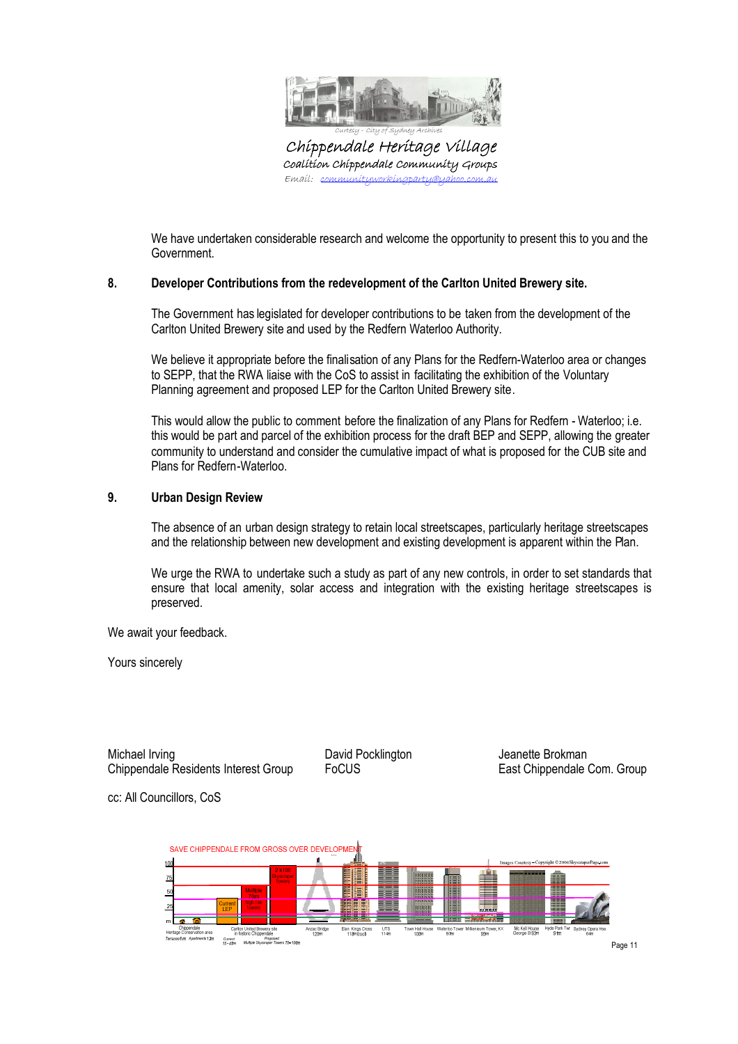

Chippendale Heritage Village Coalition Chippendale Community Groups Emaíl: com

We have undertaken considerable research and welcome the opportunity to present this to you and the Government.

### **8. Developer Contributions from the redevelopment of the Carlton United Brewery site.**

The Government has legislated for developer contributions to be taken from the development of the Carlton United Brewery site and used by the Redfern Waterloo Authority.

We believe it appropriate before the finalisation of any Plans for the Redfern-Waterloo area or changes to SEPP, that the RWA liaise with the CoS to assist in facilitating the exhibition of the Voluntary Planning agreement and proposed LEP for the Carlton United Brewery site.

This would allow the public to comment before the finalization of any Plans for Redfern - Waterloo; i.e. this would be part and parcel of the exhibition process for the draft BEP and SEPP, allowing the greater community to understand and consider the cumulative impact of what is proposed for the CUB site and Plans for Redfern-Waterloo.

# **9. Urban Design Review**

The absence of an urban design strategy to retain local streetscapes, particularly heritage streetscapes and the relationship between new development and existing development is apparent within the Plan.

We urge the RWA to undertake such a study as part of any new controls, in order to set standards that ensure that local amenity, solar access and integration with the existing heritage streetscapes is preserved.

We await your feedback.

cc: All Councillors, CoS

Yours sincerely

Michael Irving **David Pocklington** Jeanette Brokman **Michael** Irving Chippendale Residents Interest Group FoCUS East Chippendale Com. Group

SAVE CHIPPENDALE FROM GROSS OVER DEVELOPME 疆 Mc Kell House<br>George St 93m UTS<br>114m **Elan Kings Ci**<br>118m front erico<br>97m num T<br>95m Current Proposed<br>Tommert Proposed<br>T5-45m Multiple Skyscraper Towers 70-100n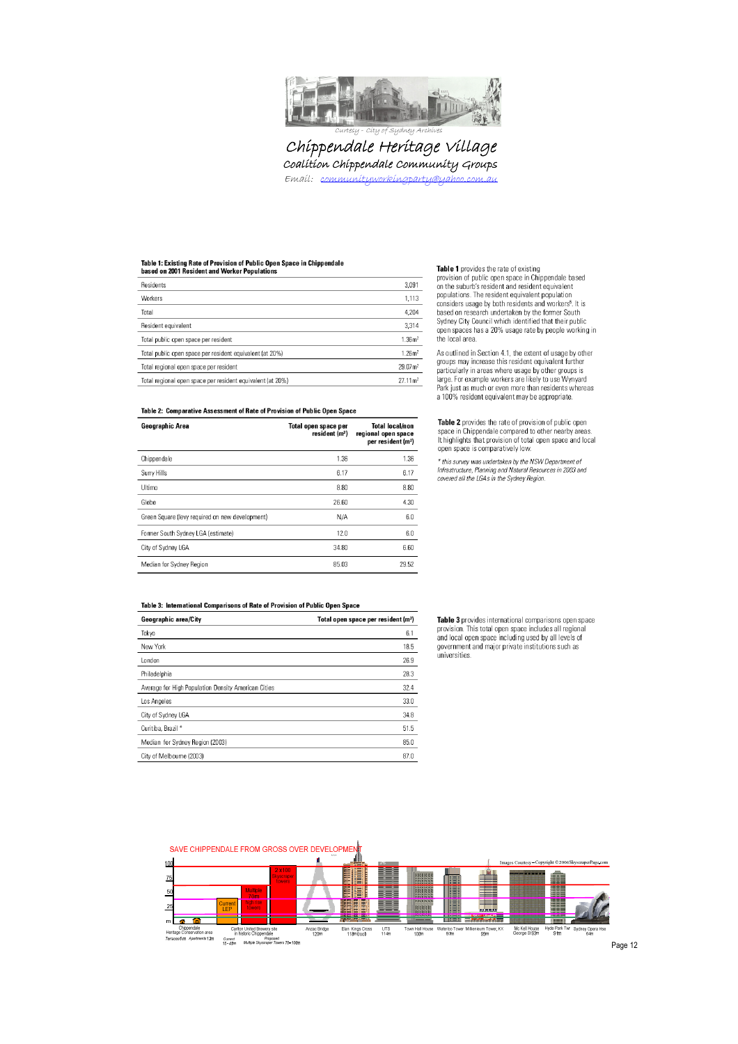

Chippendale Heritage Village Coalition Chippendale Community Groups Email: communityworkingparty@yahoo.com.au

# Table 1: Existing Rate of Provision of Public Open Space in Chippendale

| Dased on 2001 Resident and Worker Populations              |                     |
|------------------------------------------------------------|---------------------|
| Residents                                                  | 3,091               |
| Workers                                                    | 1,113               |
| Total                                                      | 4,204               |
| Resident equivalent                                        | 3,314               |
| Total public open space per resident                       | 1.36 <sup>2</sup>   |
| Total public open space per resident equivalent (at 20%)   | 1.26 <sup>2</sup>   |
| Total regional open space per resident                     | 29.07m <sup>2</sup> |
| Total regional open space per resident equivalent (at 20%) | $27.11 \text{ m}^2$ |

**Example 1** provision of public open space in Chippendale based<br>on the suburb's resident and resident equivalent<br>populations. The resident equivalent population<br>considers usage by both residents and workers<sup>5</sup>. It is based on research undertaken by the former South<br>Sydney City Council which identified that their public open spaces has a 20% usage rate by people working in<br>the local area.

Table 1 provides the rate of existing

As outlined in Section 4.1, the extent of usage by other<br>groups may increase this resident equivalent further<br>particularly in areas where usage by other groups is large. For example workers are likely to use Wynyard<br>Park just as much or even more than residents whereas a 100% resident equivalent may be appropriate.

Table 2 provides the rate of provision of public open space in Chippendale compared to other nearby areas.<br>It highlights that provision of total open space and local open space is comparatively low.

\* this survey was undertaken by the NSW Department of Infrastructure, Planning and Natural Resources in 2003 and<br>covered all the LGAs in the Sydney Region.

#### Table 2: Comparative Assessment of Rate of Provision of Public Open Space

| Geographic Area                                 | Total open space per<br>resident (m <sup>2</sup> ) | <b>Total local/non</b><br>regional open space<br>per resident (m <sup>2</sup> ) |
|-------------------------------------------------|----------------------------------------------------|---------------------------------------------------------------------------------|
| Chippendale                                     | 1.36                                               | 1.36                                                                            |
| Surry Hills                                     | 6.17                                               | 6.17                                                                            |
| Ultimo                                          | 8.80                                               | 8.80                                                                            |
| Glebe                                           | 26.60                                              | 4.30                                                                            |
| Green Square (levy required on new development) | N/A                                                | 6.0                                                                             |
| Former South Sydney LGA (estimate)              | 12.0                                               | 6.0                                                                             |
| City of Sydney LGA                              | 34.80                                              | 6.60                                                                            |
| Median for Sydney Region                        | 85.03                                              | 29.52                                                                           |

#### Table 3: International Comparisons of Rate of Provision of Public Open Space

| Geographic area/City                                | Total open space per resident (m <sup>2</sup> ) |
|-----------------------------------------------------|-------------------------------------------------|
| Tokyo                                               | 6.1                                             |
| New York                                            | 18.5                                            |
| London                                              | 26.9                                            |
| Philadelphia                                        | 28.3                                            |
| Average for High Population Density American Cities | 32.4                                            |
| Los Angeles                                         | 33.0                                            |
| City of Sydney LGA                                  | 34.8                                            |
| Curitiba, Brazil *                                  | 51.5                                            |
| Median for Sydney Region (2003)                     | 85.0                                            |
| City of Melboume (2003)                             | 87.0                                            |

Table 3 provides international comparisons open space provision. This total open space includes all regional<br>and local open space including used by all levels of government and major private institutions such as universities.

SAVE CHIPPENDALE FROM GROSS OVER DEVELOPMEN  $100$ 師 ᄪ Æ 75 E 閨膳 ≡  $\overline{50}$ 嗤 eg e la n  $\overline{25}$ II E տ ե R THE BI  $\overline{\phantom{a}}$ Mc Kell House<br>George St 93m Sydney Opera .<br>Carlton United Brewery site<br>in historic Chippendale  $rac{UTS}{114m}$ nzac Bridg<br>120m Elan Kings Cro<br>118m (roof) n Hall F<br>100m lerico To<br>97m eum Tower,<br>95m Chippendale<br>Heritage Conservation<br>Terraces 6m Apartme area<br>ts12m in historic Chippendale<br>Current Proposed<br>15-45m Multiple Skyscraper Towers 70-100m

Page 12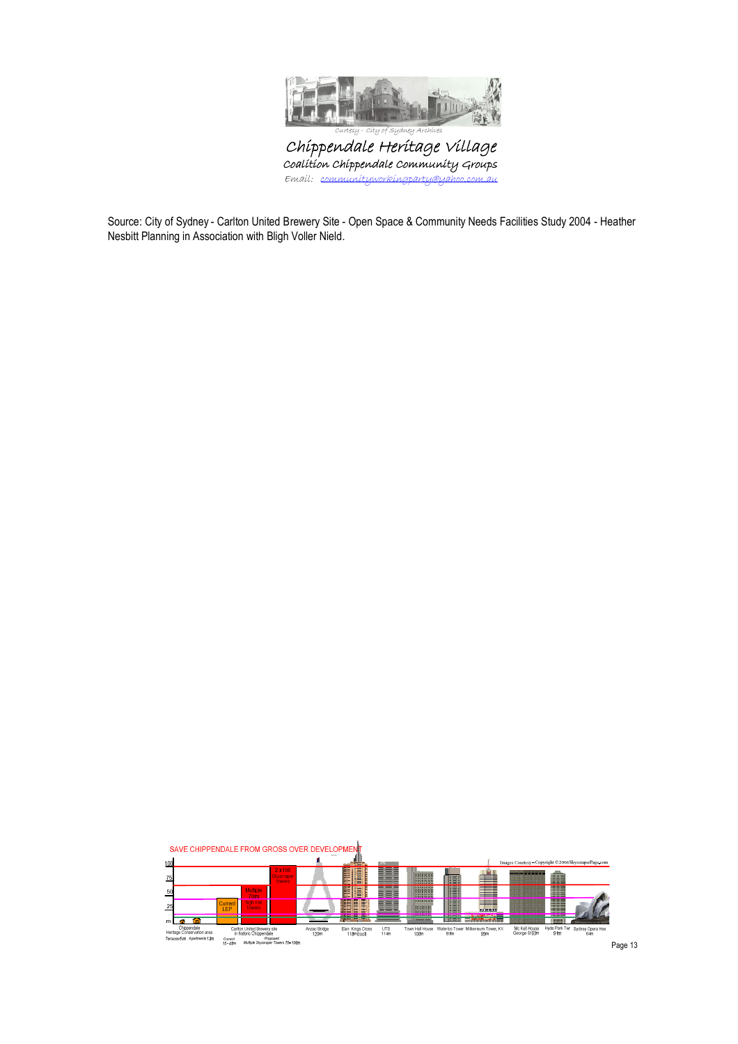

Chippendale Heritage Village Coalition Chippendale Community Groups Email: communityworkingparty@yahoo.com.au

Source: City of Sydney - Carlton United Brewery Site - Open Space & Community Needs Facilities Study 2004 - Heather Nesbitt Planning in Association with Bligh Voller Nield.